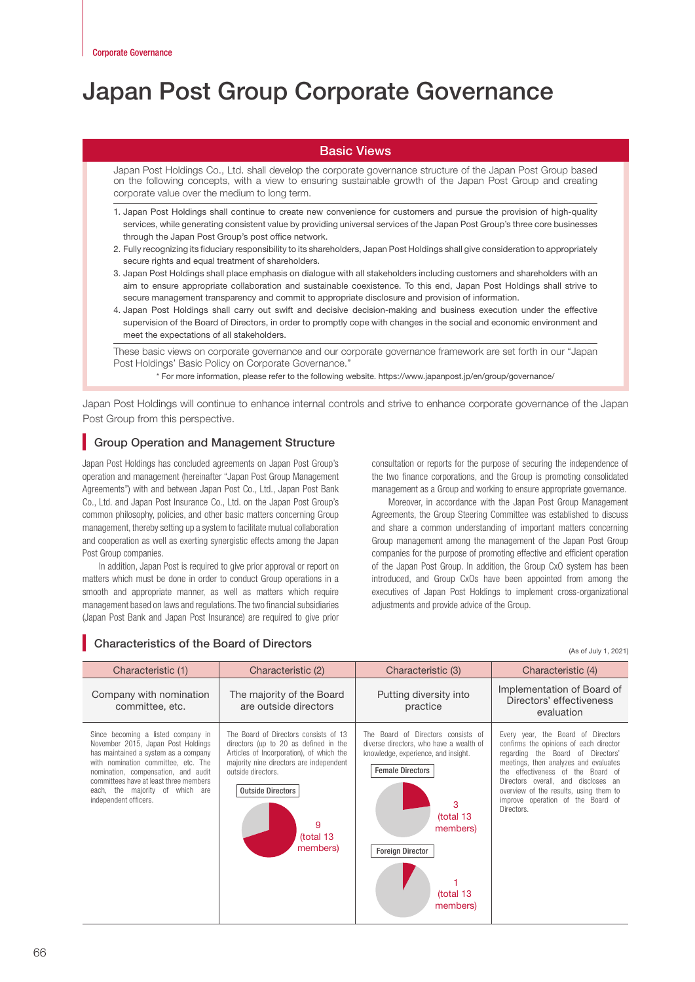# Japan Post Group Corporate Governance

# Basic Views

Japan Post Holdings Co., Ltd. shall develop the corporate governance structure of the Japan Post Group based on the following concepts, with a view to ensuring sustainable growth of the Japan Post Group and creating corporate value over the medium to long term.

- 1. Japan Post Holdings shall continue to create new convenience for customers and pursue the provision of high-quality services, while generating consistent value by providing universal services of the Japan Post Group's three core businesses through the Japan Post Group's post office network.
- 2. Fully recognizing its fiduciary responsibility to its shareholders, Japan Post Holdings shall give consideration to appropriately secure rights and equal treatment of shareholders.
- 3. Japan Post Holdings shall place emphasis on dialogue with all stakeholders including customers and shareholders with an aim to ensure appropriate collaboration and sustainable coexistence. To this end, Japan Post Holdings shall strive to secure management transparency and commit to appropriate disclosure and provision of information.
- 4. Japan Post Holdings shall carry out swift and decisive decision-making and business execution under the effective supervision of the Board of Directors, in order to promptly cope with changes in the social and economic environment and meet the expectations of all stakeholders.

These basic views on corporate governance and our corporate governance framework are set forth in our "Japan Post Holdings' Basic Policy on Corporate Governance."

\* For more information, please refer to the following website. https://www.japanpost.jp/en/group/governance/

Japan Post Holdings will continue to enhance internal controls and strive to enhance corporate governance of the Japan Post Group from this perspective.

# **Group Operation and Management Structure**

Japan Post Holdings has concluded agreements on Japan Post Group's operation and management (hereinafter "Japan Post Group Management Agreements") with and between Japan Post Co., Ltd., Japan Post Bank Co., Ltd. and Japan Post Insurance Co., Ltd. on the Japan Post Group's common philosophy, policies, and other basic matters concerning Group management, thereby setting up a system to facilitate mutual collaboration and cooperation as well as exerting synergistic effects among the Japan Post Group companies.

In addition, Japan Post is required to give prior approval or report on matters which must be done in order to conduct Group operations in a smooth and appropriate manner, as well as matters which require management based on laws and regulations. The two financial subsidiaries (Japan Post Bank and Japan Post Insurance) are required to give prior

Characteristics of the Board of Directors

consultation or reports for the purpose of securing the independence of the two finance corporations, and the Group is promoting consolidated management as a Group and working to ensure appropriate governance.

Moreover, in accordance with the Japan Post Group Management Agreements, the Group Steering Committee was established to discuss and share a common understanding of important matters concerning Group management among the management of the Japan Post Group companies for the purpose of promoting effective and efficient operation of the Japan Post Group. In addition, the Group CxO system has been introduced, and Group CxOs have been appointed from among the executives of Japan Post Holdings to implement cross-organizational adjustments and provide advice of the Group.

(As of July 1, 2021)

Characteristic (1) Characteristic (2) Characteristic (3) Characteristic (4) Company with nomination committee, etc. The majority of the Board are outside directors Putting diversity into practice Implementation of Board of Directors' effectiveness evaluation Since becoming a listed company in November 2015, Japan Post Holdings has maintained a system as a company with nomination committee, etc. The nomination, compensation, and audit committees have at least three members each, the majority of which are independent officers. The Board of Directors consists of 13 directors (up to 20 as defined in the Articles of Incorporation), of which the majority nine directors are independent outside directors. The Board of Directors consists of diverse directors, who have a wealth of knowledge, experience, and insight. Every year, the Board of Directors confirms the opinions of each director regarding the Board of Directors' meetings, then analyzes and evaluates the effectiveness of the Board of Directors overall, and discloses an overview of the results, using them to improve operation of the Board of Directors. Outside Directors 9 (total 13 members) Female Directors **Foreign Director** 3 (total 13 members) 1 (total 13 members)

66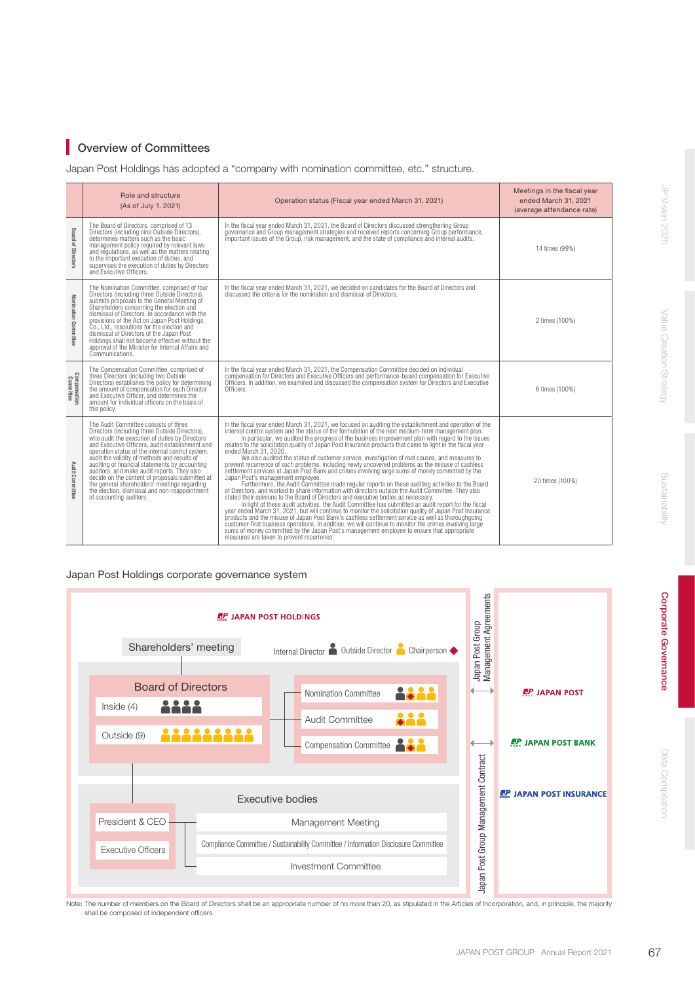# **Overview of Committees**

Japan Post Holdings has adopted a "company with nomination committee, etc." structure.

|                           | Role and structure<br>(As of July 1. 2021)                                                                                                                                                                                                                                                                                                                                                                                                                                                                                                                                       | Operation status (Fiscal year ended March 31, 2021)                                                                                                                                                                                                                                                                                                                                                                                                                                                                                                                                                                                                                                                                                                                                                                                                                                                                                                                                                                                                                                                                                                                                                                                                                                                                                                                                                                                                                                                                                                                                                                                                                              | Meetings in the fiscal year<br>ended March 31, 2021<br>(average attendance rate) |
|---------------------------|----------------------------------------------------------------------------------------------------------------------------------------------------------------------------------------------------------------------------------------------------------------------------------------------------------------------------------------------------------------------------------------------------------------------------------------------------------------------------------------------------------------------------------------------------------------------------------|----------------------------------------------------------------------------------------------------------------------------------------------------------------------------------------------------------------------------------------------------------------------------------------------------------------------------------------------------------------------------------------------------------------------------------------------------------------------------------------------------------------------------------------------------------------------------------------------------------------------------------------------------------------------------------------------------------------------------------------------------------------------------------------------------------------------------------------------------------------------------------------------------------------------------------------------------------------------------------------------------------------------------------------------------------------------------------------------------------------------------------------------------------------------------------------------------------------------------------------------------------------------------------------------------------------------------------------------------------------------------------------------------------------------------------------------------------------------------------------------------------------------------------------------------------------------------------------------------------------------------------------------------------------------------------|----------------------------------------------------------------------------------|
| Board of Directors        | The Board of Directors, comprised of 13<br>Directors (including nine Outside Directors),<br>determines matters such as the basic<br>management policy required by relevant laws<br>and regulations, as well as the matters relating<br>to the important execution of duties, and<br>supervises the execution of duties by Directors<br>and Executive Officers.                                                                                                                                                                                                                   | In the fiscal year ended March 31, 2021, the Board of Directors discussed strengthening Group<br>governance and Group management strategies and received reports concerning Group performance,<br>important issues of the Group, risk management, and the state of compliance and internal audits.                                                                                                                                                                                                                                                                                                                                                                                                                                                                                                                                                                                                                                                                                                                                                                                                                                                                                                                                                                                                                                                                                                                                                                                                                                                                                                                                                                               | 14 times (99%)                                                                   |
| Nomination Committee      | The Nomination Committee, comprised of four<br>Directors (including three Outside Directors),<br>submits proposals to the General Meeting of<br>Shareholders concerning the election and<br>dismissal of Directors. In accordance with the<br>provisions of the Act on Japan Post Holdings<br>Co., Ltd., resolutions for the election and<br>dismissal of Directors of the Japan Post<br>Holdings shall not become effective without the<br>approval of the Minister for Internal Affairs and<br>Communications.                                                                 | In the fiscal year ended March 31, 2021, we decided on candidates for the Board of Directors and<br>discussed the criteria for the nomination and dismissal of Directors.                                                                                                                                                                                                                                                                                                                                                                                                                                                                                                                                                                                                                                                                                                                                                                                                                                                                                                                                                                                                                                                                                                                                                                                                                                                                                                                                                                                                                                                                                                        | 2 times (100%)                                                                   |
| Compensation<br>Committee | The Compensation Committee, comprised of<br>three Directors (including two Outside<br>Directors) establishes the policy for determining<br>the amount of compensation for each Director<br>and Executive Officer, and determines the<br>amount for individual officers on the basis of<br>this policy.                                                                                                                                                                                                                                                                           | In the fiscal year ended March 31, 2021, the Compensation Committee decided on individual<br>compensation for Directors and Executive Officers and performance-based compensation for Executive<br>Officers. In addition, we examined and discussed the compensation system for Directors and Executive<br>Officers.                                                                                                                                                                                                                                                                                                                                                                                                                                                                                                                                                                                                                                                                                                                                                                                                                                                                                                                                                                                                                                                                                                                                                                                                                                                                                                                                                             | 6 times (100%)                                                                   |
| Audit Committee           | The Audit Committee consists of three<br>Directors (including three Outside Directors),<br>who audit the execution of duties by Directors<br>and Executive Officers, audit establishment and<br>operation status of the internal control system,<br>audit the validity of methods and results of<br>auditing of financial statements by accounting<br>auditors, and make audit reports. They also<br>decide on the content of proposals submitted at<br>the general shareholders' meetings regarding<br>the election, dismissal and non-reappointment<br>of accounting auditors. | In the fiscal year ended March 31, 2021, we focused on auditing the establishment and operation of the<br>internal control system and the status of the formulation of the next medium-term management plan.<br>In particular, we audited the progress of the business improvement plan with regard to the issues<br>related to the solicitation quality of Japan Post Insurance products that came to light in the fiscal year<br>ended March 31, 2020.<br>We also audited the status of customer service, investigation of root causes, and measures to<br>prevent recurrence of such problems, including newly uncovered problems as the misuse of cashless settlement services at Japan Post Bank and crimes involving large sums of money committed by the<br>Japan Post's management employee.<br>Furthermore, the Audit Committee made regular reports on these auditing activities to the Board<br>of Directors, and worked to share information with directors outside the Audit Committee. They also<br>stated their opinions to the Board of Directors and executive bodies as necessary.<br>In light of these audit activities, the Audit Committee has submitted an audit report for the fiscal<br>year ended March 31, 2021, but will continue to monitor the solicitation quality of Japan Post Insurance products and the misuse of Japan Post Bank's cashless settlement service as well as thoroughgoing<br>customer-first business operations. In addition, we will continue to monitor the crimes involving large<br>sums of money committed by the Japan Post's management employee to ensure that appropriate<br>measures are taken to prevent recurrence. | 20 times (100%)                                                                  |

# Japan Post Holdings corporate governance system



Note: The number of members on the Board of Directors shall be an appropriate number of no more than 20, as stipulated in the Articles of Incorporation, and, in principle, the majority shall be composed of independent officers.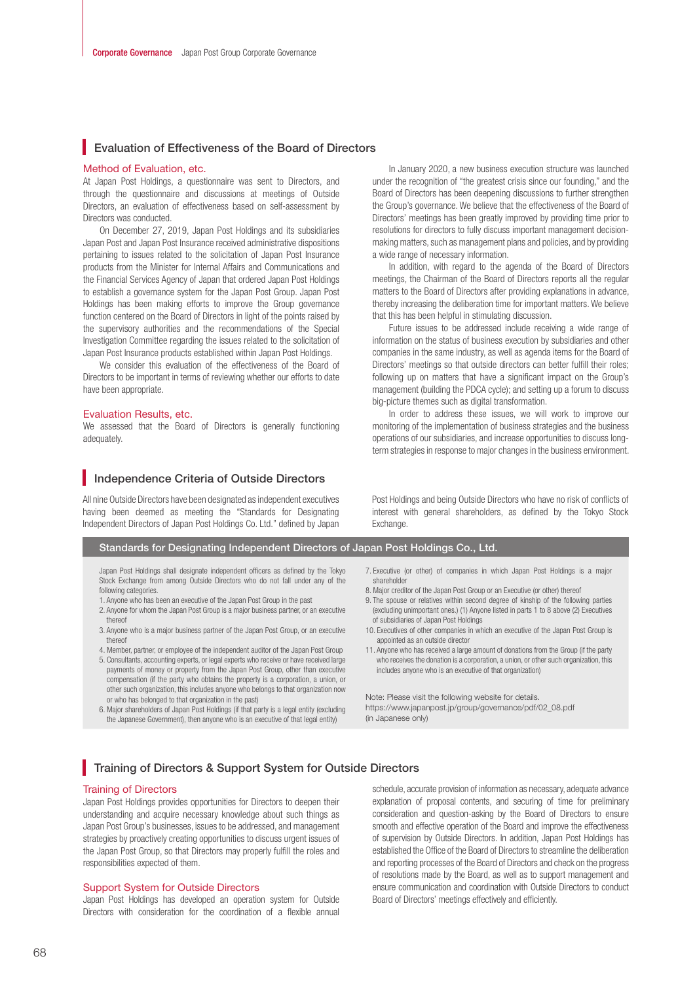# **Evaluation of Effectiveness of the Board of Directors**

#### Method of Evaluation, etc.

At Japan Post Holdings, a questionnaire was sent to Directors, and through the questionnaire and discussions at meetings of Outside Directors, an evaluation of effectiveness based on self-assessment by Directors was conducted.

On December 27, 2019, Japan Post Holdings and its subsidiaries Japan Post and Japan Post Insurance received administrative dispositions pertaining to issues related to the solicitation of Japan Post Insurance products from the Minister for Internal Affairs and Communications and the Financial Services Agency of Japan that ordered Japan Post Holdings to establish a governance system for the Japan Post Group. Japan Post Holdings has been making efforts to improve the Group governance function centered on the Board of Directors in light of the points raised by the supervisory authorities and the recommendations of the Special Investigation Committee regarding the issues related to the solicitation of Japan Post Insurance products established within Japan Post Holdings.

We consider this evaluation of the effectiveness of the Board of Directors to be important in terms of reviewing whether our efforts to date have been appropriate.

#### Evaluation Results, etc.

We assessed that the Board of Directors is generally functioning adequately.

# Independence Criteria of Outside Directors

All nine Outside Directors have been designated as independent executives having been deemed as meeting the "Standards for Designating Independent Directors of Japan Post Holdings Co. Ltd." defined by Japan

In January 2020, a new business execution structure was launched under the recognition of "the greatest crisis since our founding," and the Board of Directors has been deepening discussions to further strengthen the Group's governance. We believe that the effectiveness of the Board of Directors' meetings has been greatly improved by providing time prior to resolutions for directors to fully discuss important management decisionmaking matters, such as management plans and policies, and by providing a wide range of necessary information.

In addition, with regard to the agenda of the Board of Directors meetings, the Chairman of the Board of Directors reports all the regular matters to the Board of Directors after providing explanations in advance, thereby increasing the deliberation time for important matters. We believe that this has been helpful in stimulating discussion.

Future issues to be addressed include receiving a wide range of information on the status of business execution by subsidiaries and other companies in the same industry, as well as agenda items for the Board of Directors' meetings so that outside directors can better fulfill their roles; following up on matters that have a significant impact on the Group's management (building the PDCA cycle); and setting up a forum to discuss big-picture themes such as digital transformation.

In order to address these issues, we will work to improve our monitoring of the implementation of business strategies and the business operations of our subsidiaries, and increase opportunities to discuss longterm strategies in response to major changes in the business environment.

Post Holdings and being Outside Directors who have no risk of conflicts of interest with general shareholders, as defined by the Tokyo Stock Exchange.

| Standards for Designating Independent Directors of Japan Post Holdings Co., Ltd.                                                                                 |                                                          |
|------------------------------------------------------------------------------------------------------------------------------------------------------------------|----------------------------------------------------------|
| Japan Post Holdings shall designate independent officers as defined by the Tokyo<br>Stock Exchange from among Outside Directors who do not fall under any of the | 7. Executive (or other) of companies in w<br>shareholder |
| following categories.                                                                                                                                            | 8. Major creditor of the Japan Post Group or a           |
| 1. Anyone who has been an executive of the Japan Post Group in the past                                                                                          | 9. The spouse or relatives within second de              |

- 2. Anyone for whom the Japan Post Group is a major business partner, or an executive
- thereof
- 3. Anyone who is a major business partner of the Japan Post Group, or an executive thereof
- 4. Member, partner, or employee of the independent auditor of the Japan Post Group 5. Consultants, accounting experts, or legal experts who receive or have received large payments of money or property from the Japan Post Group, other than executive compensation (if the party who obtains the property is a corporation, a union, or other such organization, this includes anyone who belongs to that organization now or who has belonged to that organization in the past)
- 6. Major shareholders of Japan Post Holdings (if that party is a legal entity (excluding the Japanese Government), then anyone who is an executive of that legal entity)
- 7. Executive (or other) of companies in which Japan Post Holdings is a major
- an Executive (or other) thereof
- egree of kinship of the following parties (excluding unimportant ones.) (1) Anyone listed in parts 1 to 8 above (2) Executives of subsidiaries of Japan Post Holdings
- 10. Executives of other companies in which an executive of the Japan Post Group is appointed as an outside director
- 11. Anyone who has received a large amount of donations from the Group (if the party who receives the donation is a corporation, a union, or other such organization, this includes anyone who is an executive of that organization)

Note: Please visit the following website for details. https://www.japanpost.jp/group/governance/pdf/02\_08.pdf (in Japanese only)

# **Training of Directors & Support System for Outside Directors**

### Training of Directors

Japan Post Holdings provides opportunities for Directors to deepen their understanding and acquire necessary knowledge about such things as Japan Post Group's businesses, issues to be addressed, and management strategies by proactively creating opportunities to discuss urgent issues of the Japan Post Group, so that Directors may properly fulfill the roles and responsibilities expected of them.

#### Support System for Outside Directors

Japan Post Holdings has developed an operation system for Outside Directors with consideration for the coordination of a flexible annual schedule, accurate provision of information as necessary, adequate advance explanation of proposal contents, and securing of time for preliminary consideration and question-asking by the Board of Directors to ensure smooth and effective operation of the Board and improve the effectiveness of supervision by Outside Directors. In addition, Japan Post Holdings has established the Office of the Board of Directors to streamline the deliberation and reporting processes of the Board of Directors and check on the progress of resolutions made by the Board, as well as to support management and ensure communication and coordination with Outside Directors to conduct Board of Directors' meetings effectively and efficiently.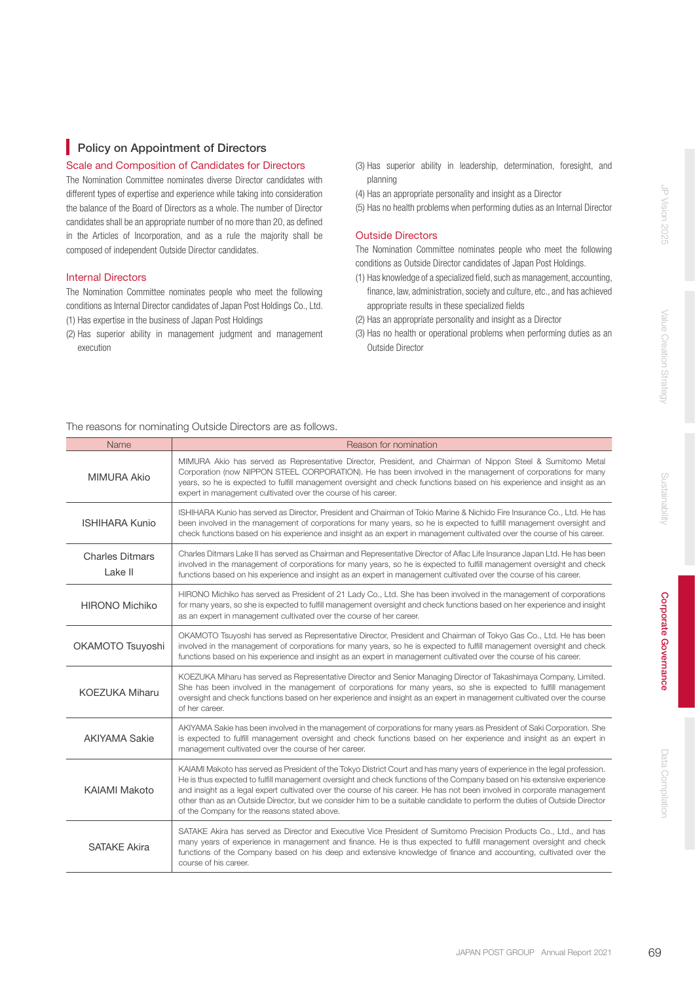# **Policy on Appointment of Directors**

# Scale and Composition of Candidates for Directors

The Nomination Committee nominates diverse Director candidates with different types of expertise and experience while taking into consideration the balance of the Board of Directors as a whole. The number of Director candidates shall be an appropriate number of no more than 20, as defined in the Articles of Incorporation, and as a rule the majority shall be composed of independent Outside Director candidates.

# Internal Directors

The Nomination Committee nominates people who meet the following conditions as Internal Director candidates of Japan Post Holdings Co., Ltd. (1) Has expertise in the business of Japan Post Holdings

(2) Has superior ability in management judgment and management execution

- (3) Has superior ability in leadership, determination, foresight, and planning
- (4) Has an appropriate personality and insight as a Director
- (5) Has no health problems when performing duties as an Internal Director

# Outside Directors

The Nomination Committee nominates people who meet the following conditions as Outside Director candidates of Japan Post Holdings.

- (1) Has knowledge of a specialized field, such as management, accounting, finance, law, administration, society and culture, etc., and has achieved appropriate results in these specialized fields
- (2) Has an appropriate personality and insight as a Director
- (3) Has no health or operational problems when performing duties as an Outside Director

# The reasons for nominating Outside Directors are as follows.

| Name                              | Reason for nomination                                                                                                                                                                                                                                                                                                                                                                                                                                                                                                                                              |
|-----------------------------------|--------------------------------------------------------------------------------------------------------------------------------------------------------------------------------------------------------------------------------------------------------------------------------------------------------------------------------------------------------------------------------------------------------------------------------------------------------------------------------------------------------------------------------------------------------------------|
| <b>MIMURA Akio</b>                | MIMURA Akio has served as Representative Director, President, and Chairman of Nippon Steel & Sumitomo Metal<br>Corporation (now NIPPON STEEL CORPORATION). He has been involved in the management of corporations for many<br>years, so he is expected to fulfill management oversight and check functions based on his experience and insight as an<br>expert in management cultivated over the course of his career.                                                                                                                                             |
| <b>ISHIHARA Kunio</b>             | ISHIHARA Kunio has served as Director, President and Chairman of Tokio Marine & Nichido Fire Insurance Co., Ltd. He has<br>been involved in the management of corporations for many years, so he is expected to fulfill management oversight and<br>check functions based on his experience and insight as an expert in management cultivated over the course of his career.                                                                                                                                                                                       |
| <b>Charles Ditmars</b><br>Lake II | Charles Ditmars Lake II has served as Chairman and Representative Director of Aflac Life Insurance Japan Ltd. He has been<br>involved in the management of corporations for many years, so he is expected to fulfill management oversight and check<br>functions based on his experience and insight as an expert in management cultivated over the course of his career.                                                                                                                                                                                          |
| <b>HIRONO Michiko</b>             | HIRONO Michiko has served as President of 21 Lady Co., Ltd. She has been involved in the management of corporations<br>for many years, so she is expected to fulfill management oversight and check functions based on her experience and insight<br>as an expert in management cultivated over the course of her career.                                                                                                                                                                                                                                          |
| OKAMOTO Tsuyoshi                  | OKAMOTO Tsuyoshi has served as Representative Director, President and Chairman of Tokyo Gas Co., Ltd. He has been<br>involved in the management of corporations for many years, so he is expected to fulfill management oversight and check<br>functions based on his experience and insight as an expert in management cultivated over the course of his career.                                                                                                                                                                                                  |
| <b>KOEZUKA Miharu</b>             | KOEZUKA Miharu has served as Representative Director and Senior Managing Director of Takashimaya Company, Limited.<br>She has been involved in the management of corporations for many years, so she is expected to fulfill management<br>oversight and check functions based on her experience and insight as an expert in management cultivated over the course<br>of her career.                                                                                                                                                                                |
| <b>AKIYAMA Sakie</b>              | AKIYAMA Sakie has been involved in the management of corporations for many years as President of Saki Corporation. She<br>is expected to fulfill management oversight and check functions based on her experience and insight as an expert in<br>management cultivated over the course of her career.                                                                                                                                                                                                                                                              |
| KAIAMI Makoto                     | KAIAMI Makoto has served as President of the Tokyo District Court and has many years of experience in the legal profession.<br>He is thus expected to fulfill management oversight and check functions of the Company based on his extensive experience<br>and insight as a legal expert cultivated over the course of his career. He has not been involved in corporate management<br>other than as an Outside Director, but we consider him to be a suitable candidate to perform the duties of Outside Director<br>of the Company for the reasons stated above. |
| <b>SATAKE Akira</b>               | SATAKE Akira has served as Director and Executive Vice President of Sumitomo Precision Products Co., Ltd., and has<br>many years of experience in management and finance. He is thus expected to fulfill management oversight and check<br>functions of the Company based on his deep and extensive knowledge of finance and accounting, cultivated over the<br>course of his career.                                                                                                                                                                              |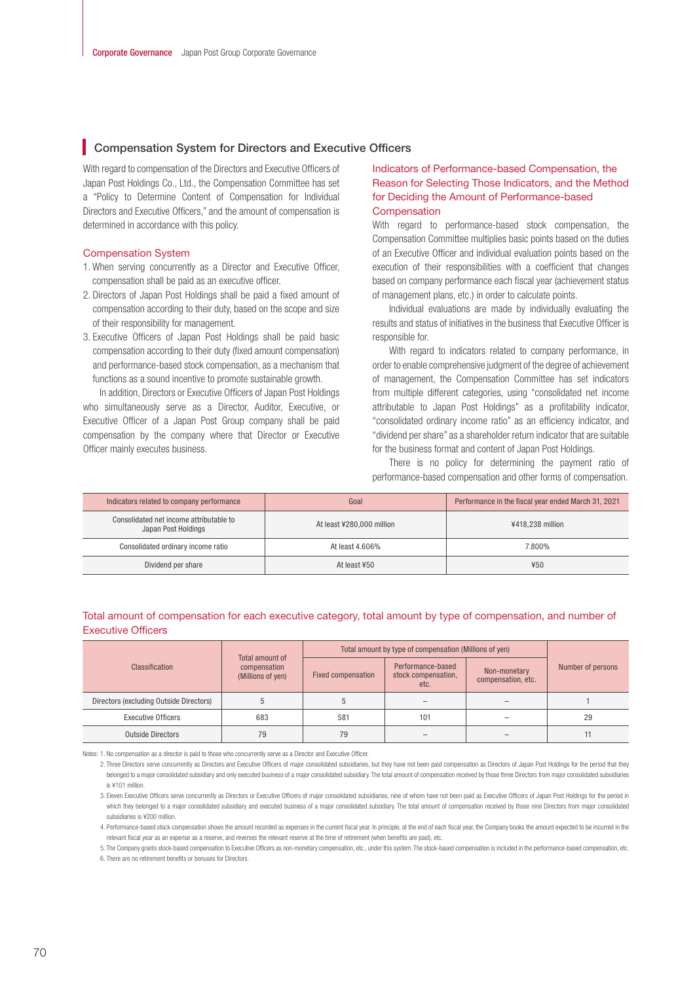# **Compensation System for Directors and Executive Officers**

With regard to compensation of the Directors and Executive Officers of Japan Post Holdings Co., Ltd., the Compensation Committee has set a "Policy to Determine Content of Compensation for Individual Directors and Executive Officers," and the amount of compensation is determined in accordance with this policy.

#### Compensation System

- 1. When serving concurrently as a Director and Executive Officer, compensation shall be paid as an executive officer.
- 2. Directors of Japan Post Holdings shall be paid a fixed amount of compensation according to their duty, based on the scope and size of their responsibility for management.
- 3. Executive Officers of Japan Post Holdings shall be paid basic compensation according to their duty (fixed amount compensation) and performance-based stock compensation, as a mechanism that functions as a sound incentive to promote sustainable growth.

In addition, Directors or Executive Officers of Japan Post Holdings who simultaneously serve as a Director, Auditor, Executive, or Executive Officer of a Japan Post Group company shall be paid compensation by the company where that Director or Executive Officer mainly executes business.

# Indicators of Performance-based Compensation, the Reason for Selecting Those Indicators, and the Method for Deciding the Amount of Performance-based **Compensation**

With regard to performance-based stock compensation, the Compensation Committee multiplies basic points based on the duties of an Executive Officer and individual evaluation points based on the execution of their responsibilities with a coefficient that changes based on company performance each fiscal year (achievement status of management plans, etc.) in order to calculate points.

Individual evaluations are made by individually evaluating the results and status of initiatives in the business that Executive Officer is responsible for.

With regard to indicators related to company performance, in order to enable comprehensive judgment of the degree of achievement of management, the Compensation Committee has set indicators from multiple different categories, using "consolidated net income attributable to Japan Post Holdings" as a profitability indicator, "consolidated ordinary income ratio" as an efficiency indicator, and "dividend per share" as a shareholder return indicator that are suitable for the business format and content of Japan Post Holdings.

There is no policy for determining the payment ratio of performance-based compensation and other forms of compensation.

| Indicators related to company performance                      | Goal                      | Performance in the fiscal year ended March 31, 2021 |
|----------------------------------------------------------------|---------------------------|-----------------------------------------------------|
| Consolidated net income attributable to<br>Japan Post Holdings | At least ¥280,000 million | ¥418.238 million                                    |
| Consolidated ordinary income ratio                             | At least 4,606%           | 7.800%                                              |
| Dividend per share                                             | At least ¥50              | ¥50                                                 |

#### Total amount of compensation for each executive category, total amount by type of compensation, and number of Executive Officers

|                                         | Total amount of                   | Total amount by type of compensation (Millions of yen) |                                                  |                                    |                   |
|-----------------------------------------|-----------------------------------|--------------------------------------------------------|--------------------------------------------------|------------------------------------|-------------------|
| Classification                          | compensation<br>(Millions of yen) | <b>Fixed compensation</b>                              | Performance-based<br>stock compensation,<br>etc. | Non-monetary<br>compensation, etc. | Number of persons |
| Directors (excluding Outside Directors) |                                   |                                                        |                                                  |                                    |                   |
| <b>Executive Officers</b>               | 683                               | 581                                                    | 101                                              |                                    | 29                |
| <b>Outside Directors</b>                | 79                                | 79                                                     |                                                  |                                    |                   |

Notes: 1. No compensation as a director is paid to those who concurrently serve as a Director and Executive Officer.

<sup>2.</sup> Three Directors serve concurrently as Directors and Executive Officers of major consolidated subsidiaries, but they have not been paid compensation as Directors of Japan Post Holdings for the period that they belonged to a major consolidated subsidiary and only executed business of a major consolidated subsidiary. The total amount of compensation received by those three Directors from major consolidated subsidiaries is ¥101 million.

<sup>3.</sup> Eleven Executive Officers serve concurrently as Directors or Executive Officers of major consolidated subsidiaries, nine of whom have not been paid as Executive Officers of Japan Post Holdings for the period in which they belonged to a major consolidated subsidiary and executed business of a major consolidated subsidiary. The total amount of compensation received by those nine Directors from major consolidated subsidiaries is ¥200 million.

<sup>4.</sup> Performance-based stock compensation shows the amount recorded as expenses in the current fiscal year. In principle, at the end of each fiscal year, the Company books the amount expected to be incurred in the relevant fiscal year as an expense as a reserve, and reverses the relevant reserve at the time of retirement (when benefits are paid), etc.

<sup>5.</sup> The Company grants stock-based compensation to Executive Officers as non-monetary compensation, etc., under this system. The stock-based compensation is included in the performance-based compensation, etc. 6. There are no retirement benefits or bonuses for Directors.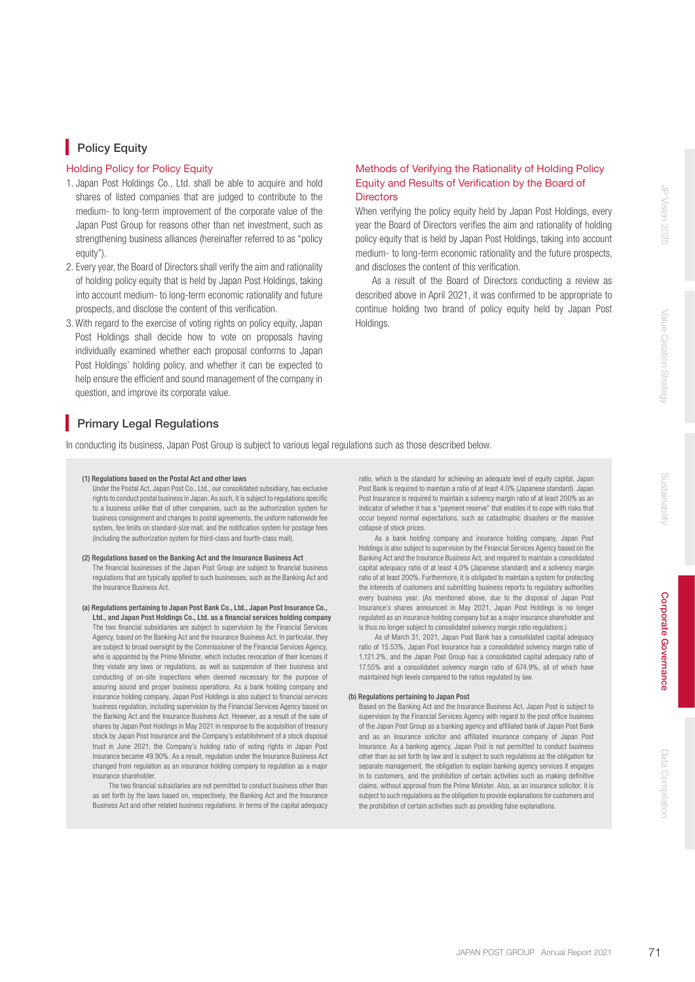# **Policy Equity**

### Holding Policy for Policy Equity

- 1. Japan Post Holdings Co., Ltd. shall be able to acquire and hold shares of listed companies that are judged to contribute to the medium- to long-term improvement of the corporate value of the Japan Post Group for reasons other than net investment, such as strengthening business alliances (hereinafter referred to as "policy equity").
- 2. Every year, the Board of Directors shall verify the aim and rationality of holding policy equity that is held by Japan Post Holdings, taking into account medium- to long-term economic rationality and future prospects, and disclose the content of this verification.
- 3. With regard to the exercise of voting rights on policy equity, Japan Post Holdings shall decide how to vote on proposals having individually examined whether each proposal conforms to Japan Post Holdings' holding policy, and whether it can be expected to help ensure the efficient and sound management of the company in question, and improve its corporate value.

# Methods of Verifying the Rationality of Holding Policy Equity and Results of Verification by the Board of **Directors**

When verifying the policy equity held by Japan Post Holdings, every year the Board of Directors verifies the aim and rationality of holding policy equity that is held by Japan Post Holdings, taking into account medium- to long-term economic rationality and the future prospects, and discloses the content of this verification.

As a result of the Board of Directors conducting a review as described above in April 2021, it was confirmed to be appropriate to continue holding two brand of policy equity held by Japan Post Holdings.

Sustainability

Sustainabilit

# **Primary Legal Regulations**

In conducting its business, Japan Post Group is subject to various legal regulations such as those described below.

#### (1) Regulations based on the Postal Act and other laws

Under the Postal Act, Japan Post Co., Ltd., our consolidated subsidiary, has exclusive rights to conduct postal business in Japan. As such, it is subject to regulations specific to a business unlike that of other companies, such as the authorization system for business consignment and changes to postal agreements, the uniform nationwide fee system, fee limits on standard-size mail, and the notification system for postage fees (including the authorization system for third-class and fourth-class mail).

#### (2) Regulations based on the Banking Act and the Insurance Business Act

The financial businesses of the Japan Post Group are subject to financial business regulations that are typically applied to such businesses, such as the Banking Act and the Insurance Business Act.

(a) Regulations pertaining to Japan Post Bank Co., Ltd., Japan Post Insurance Co., Ltd., and Japan Post Holdings Co., Ltd. as a financial services holding company The two financial subsidiaries are subject to supervision by the Financial Services Agency, based on the Banking Act and the Insurance Business Act. In particular, they are subject to broad oversight by the Commissioner of the Financial Services Agency, who is appointed by the Prime Minister, which includes revocation of their licenses if they violate any laws or regulations, as well as suspension of their business and conducting of on-site inspections when deemed necessary for the purpose of assuring sound and proper business operations. As a bank holding company and insurance holding company, Japan Post Holdings is also subject to financial services business regulation, including supervision by the Financial Services Agency based on the Banking Act and the Insurance Business Act. However, as a result of the sale of shares by Japan Post Holdings in May 2021 in response to the acquisition of treasury stock by Japan Post Insurance and the Company's establishment of a stock disposal trust in June 2021, the Company's holding ratio of voting rights in Japan Post Insurance became 49.90%. As a result, regulation under the Insurance Business Act changed from regulation as an insurance holding company to regulation as a major insurance shareholder.

The two financial subsidiaries are not permitted to conduct business other than as set forth by the laws based on, respectively, the Banking Act and the Insurance Business Act and other related business regulations. In terms of the capital adequacy ratio, which is the standard for achieving an adequate level of equity capital, Japan Post Bank is required to maintain a ratio of at least 4.0% (Japanese standard). Japan Post Insurance is required to maintain a solvency margin ratio of at least 200% as an indicator of whether it has a "payment reserve" that enables it to cope with risks that occur beyond normal expectations, such as catastrophic disasters or the massive collapse of stock prices.

 As a bank holding company and insurance holding company, Japan Post Holdings is also subject to supervision by the Financial Services Agency based on the Banking Act and the Insurance Business Act, and required to maintain a consolidated capital adequacy ratio of at least 4.0% (Japanese standard) and a solvency margin ratio of at least 200%. Furthermore, it is obligated to maintain a system for protecting the interests of customers and submitting business reports to regulatory authorities every business year. (As mentioned above, due to the disposal of Japan Post Insurance's shares announced in May 2021, Japan Post Holdings is no longer regulated as an insurance holding company but as a major insurance shareholder and is thus no longer subject to consolidated solvency margin ratio regulations.)

 As of March 31, 2021, Japan Post Bank has a consolidated capital adequacy ratio of 15.53%, Japan Post Insurance has a consolidated solvency margin ratio of 1,121.2%, and the Japan Post Group has a consolidated capital adequacy ratio of 17.55% and a consolidated solvency margin ratio of 674.9%, all of which have maintained high levels compared to the ratios regulated by law.

#### (b) Regulations pertaining to Japan Post

Based on the Banking Act and the Insurance Business Act, Japan Post is subject to supervision by the Financial Services Agency with regard to the post office business of the Japan Post Group as a banking agency and affiliated bank of Japan Post Bank and as an insurance solicitor and afliated insurance company of Japan Post Insurance. As a banking agency, Japan Post is not permitted to conduct business other than as set forth by law and is subject to such regulations as the obligation for separate management, the obligation to explain banking agency services it engages in to customers, and the prohibition of certain activities such as making definitive claims, without approval from the Prime Minister. Also, as an insurance solicitor, it is subject to such regulations as the obligation to provide explanations for customers and the prohibition of certain activities such as providing false explanations.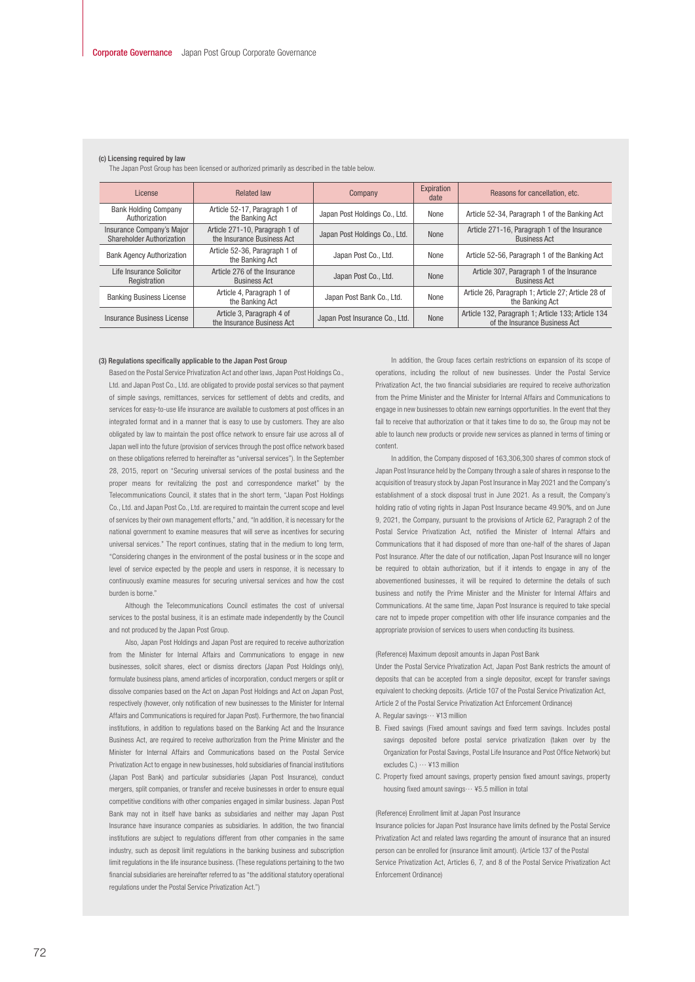| The Japan Post Group has been licensed or authorized primarily as described in the table below. |                                                              |                                |                    |                                                                                     |  |
|-------------------------------------------------------------------------------------------------|--------------------------------------------------------------|--------------------------------|--------------------|-------------------------------------------------------------------------------------|--|
| License                                                                                         | <b>Related law</b>                                           | Company                        | Expiration<br>date | Reasons for cancellation, etc.                                                      |  |
| <b>Bank Holding Company</b><br>Authorization                                                    | Article 52-17, Paragraph 1 of<br>the Banking Act             | Japan Post Holdings Co., Ltd.  | None               | Article 52-34, Paragraph 1 of the Banking Act                                       |  |
| Insurance Company's Major<br>Shareholder Authorization                                          | Article 271-10, Paragraph 1 of<br>the Insurance Business Act | Japan Post Holdings Co., Ltd.  | None               | Article 271-16, Paragraph 1 of the Insurance<br><b>Business Act</b>                 |  |
| <b>Bank Agency Authorization</b>                                                                | Article 52-36, Paragraph 1 of<br>the Banking Act             | Japan Post Co., Ltd.           | None               | Article 52-56, Paragraph 1 of the Banking Act                                       |  |
| Life Insurance Solicitor<br>Registration                                                        | Article 276 of the Insurance<br><b>Business Act</b>          | Japan Post Co., Ltd.           | None               | Article 307, Paragraph 1 of the Insurance<br><b>Business Act</b>                    |  |
| <b>Banking Business License</b>                                                                 | Article 4, Paragraph 1 of<br>the Banking Act                 | Japan Post Bank Co., Ltd.      | None               | Article 26, Paragraph 1; Article 27; Article 28 of<br>the Banking Act               |  |
| Insurance Business License                                                                      | Article 3, Paragraph 4 of<br>the Insurance Business Act      | Japan Post Insurance Co., Ltd. | None               | Article 132, Paragraph 1; Article 133; Article 134<br>of the Insurance Business Act |  |

#### (c) Licensing required by law

The Japan Post Group has been licensed or authorized primarily as described in the table below.

#### (3) Regulations specifically applicable to the Japan Post Group

Based on the Postal Service Privatization Act and other laws, Japan Post Holdings Co., Ltd. and Japan Post Co., Ltd. are obligated to provide postal services so that payment of simple savings, remittances, services for settlement of debts and credits, and services for easy-to-use life insurance are available to customers at post offices in an integrated format and in a manner that is easy to use by customers. They are also obligated by law to maintain the post office network to ensure fair use across all of Japan well into the future (provision of services through the post office network based on these obligations referred to hereinafter as "universal services"). In the September 28, 2015, report on "Securing universal services of the postal business and the proper means for revitalizing the post and correspondence market" by the Telecommunications Council, it states that in the short term, "Japan Post Holdings Co., Ltd. and Japan Post Co., Ltd. are required to maintain the current scope and level of services by their own management efforts," and, "In addition, it is necessary for the national government to examine measures that will serve as incentives for securing universal services." The report continues, stating that in the medium to long term, "Considering changes in the environment of the postal business or in the scope and level of service expected by the people and users in response, it is necessary to continuously examine measures for securing universal services and how the cost burden is borne."

 Although the Telecommunications Council estimates the cost of universal services to the postal business, it is an estimate made independently by the Council and not produced by the Japan Post Group.

 Also, Japan Post Holdings and Japan Post are required to receive authorization from the Minister for Internal Affairs and Communications to engage in new businesses, solicit shares, elect or dismiss directors (Japan Post Holdings only), formulate business plans, amend articles of incorporation, conduct mergers or split or dissolve companies based on the Act on Japan Post Holdings and Act on Japan Post, respectively (however, only notification of new businesses to the Minister for Internal Affairs and Communications is required for Japan Post). Furthermore, the two financial institutions, in addition to regulations based on the Banking Act and the Insurance Business Act, are required to receive authorization from the Prime Minister and the Minister for Internal Affairs and Communications based on the Postal Service Privatization Act to engage in new businesses, hold subsidiaries of financial institutions (Japan Post Bank) and particular subsidiaries (Japan Post Insurance), conduct mergers, split companies, or transfer and receive businesses in order to ensure equal competitive conditions with other companies engaged in similar business. Japan Post Bank may not in itself have banks as subsidiaries and neither may Japan Post Insurance have insurance companies as subsidiaries. In addition, the two financial institutions are subject to regulations different from other companies in the same industry, such as deposit limit regulations in the banking business and subscription limit regulations in the life insurance business. (These regulations pertaining to the two nancial subsidiaries are hereinafter referred to as "the additional statutory operational regulations under the Postal Service Privatization Act.")

 In addition, the Group faces certain restrictions on expansion of its scope of operations, including the rollout of new businesses. Under the Postal Service Privatization Act, the two financial subsidiaries are required to receive authorization from the Prime Minister and the Minister for Internal Affairs and Communications to engage in new businesses to obtain new earnings opportunities. In the event that they fail to receive that authorization or that it takes time to do so, the Group may not be able to launch new products or provide new services as planned in terms of timing or content.

 In addition, the Company disposed of 163,306,300 shares of common stock of Japan Post Insurance held by the Company through a sale of shares in response to the acquisition of treasury stock by Japan Post Insurance in May 2021 and the Company's establishment of a stock disposal trust in June 2021. As a result, the Company's holding ratio of voting rights in Japan Post Insurance became 49,90%, and on June 9, 2021, the Company, pursuant to the provisions of Article 62, Paragraph 2 of the Postal Service Privatization Act, notified the Minister of Internal Affairs and Communications that it had disposed of more than one-half of the shares of Japan Post Insurance. After the date of our notification, Japan Post Insurance will no longer be required to obtain authorization, but if it intends to engage in any of the abovementioned businesses, it will be required to determine the details of such business and notify the Prime Minister and the Minister for Internal Affairs and Communications. At the same time, Japan Post Insurance is required to take special care not to impede proper competition with other life insurance companies and the appropriate provision of services to users when conducting its business.

#### (Reference) Maximum deposit amounts in Japan Post Bank

Under the Postal Service Privatization Act, Japan Post Bank restricts the amount of deposits that can be accepted from a single depositor, except for transfer savings equivalent to checking deposits. (Article 107 of the Postal Service Privatization Act, Article 2 of the Postal Service Privatization Act Enforcement Ordinance)

- A. Regular savings… ¥13 million
- B. Fixed savings (Fixed amount savings and fixed term savings. Includes postal savings deposited before postal service privatization (taken over by the Organization for Postal Savings, Postal Life Insurance and Post Office Network) but excludes C.) … ¥13 million
- C. Property fixed amount savings, property pension fixed amount savings, property housing fixed amount savings $\cdots$  ¥5.5 million in total

#### (Reference) Enrollment limit at Japan Post Insurance

Insurance policies for Japan Post Insurance have limits defined by the Postal Service Privatization Act and related laws regarding the amount of insurance that an insured person can be enrolled for (insurance limit amount). (Article 137 of the Postal Service Privatization Act, Articles 6, 7, and 8 of the Postal Service Privatization Act Enforcement Ordinance)